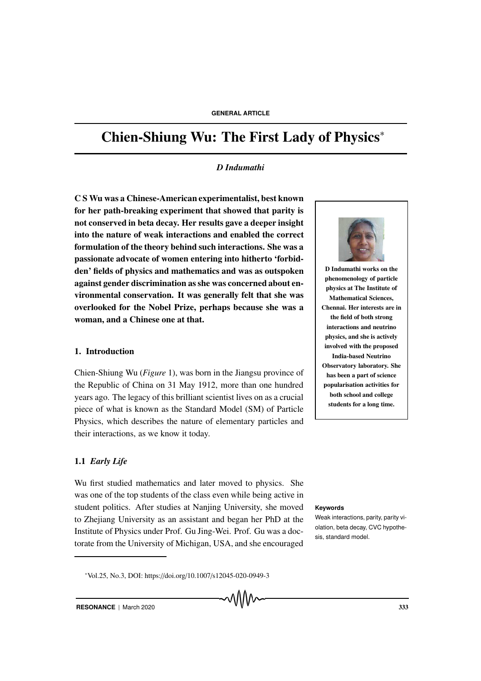# Chien-Shiung Wu: The First Lady of Physics<sup>∗</sup>

#### *D Indumathi*

C S Wu was a Chinese-American experimentalist, best known for her path-breaking experiment that showed that parity is not conserved in beta decay. Her results gave a deeper insight into the nature of weak interactions and enabled the correct formulation of the theory behind such interactions. She was a passionate advocate of women entering into hitherto 'forbidden' fields of physics and mathematics and was as outspoken against gender discrimination as she was concerned about environmental conservation. It was generally felt that she was overlooked for the Nobel Prize, perhaps because she was a woman, and a Chinese one at that.

#### 1. Introduction

Chien-Shiung Wu (*Figure* 1), was born in the Jiangsu province of the Republic of China on 31 May 1912, more than one hundred years ago. The legacy of this brilliant scientist lives on as a crucial piece of what is known as the Standard Model (SM) of Particle Physics, which describes the nature of elementary particles and their interactions, as we know it today.

#### 1.1 *Early Life*

Wu first studied mathematics and later moved to physics. She was one of the top students of the class even while being active in student politics. After studies at Nanjing University, she moved **Keywords** to Zhejiang University as an assistant and began her PhD at the Institute of Physics under Prof. Gu Jing-Wei. Prof. Gu was a doctorate from the University of Michigan, USA, and she encouraged



D Indumathi works on the phenomenology of particle physics at The Institute of Mathematical Sciences, Chennai. Her interests are in the field of both strong interactions and neutrino physics, and she is actively involved with the proposed India-based Neutrino Observatory laboratory. She has been a part of science popularisation activities for both school and college students for a long time.

Weak interactions, parity, parity violation, beta decay, CVC hypothesis, standard model.

<sup>∗</sup>Vol.25, No.3, DOI: https://doi.org/10.1007/s12045-020-0949-3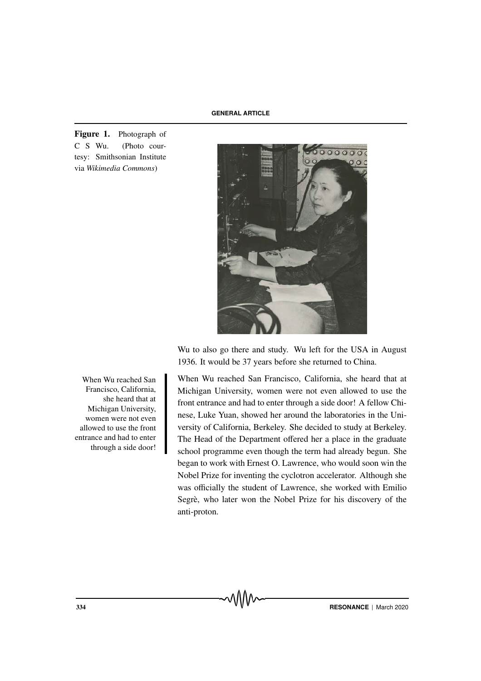Figure 1. Photograph of C S Wu. (Photo courtesy: Smithsonian Institute via *Wikimedia Commons*)



Wu to also go there and study. Wu left for the USA in August 1936. It would be 37 years before she returned to China.

When Wu reached San Francisco, California, she heard that at Michigan University, women were not even allowed to use the front entrance and had to enter through a side door! A fellow Chinese, Luke Yuan, showed her around the laboratories in the University of California, Berkeley. She decided to study at Berkeley. The Head of the Department offered her a place in the graduate school programme even though the term had already begun. She began to work with Ernest O. Lawrence, who would soon win the Nobel Prize for inventing the cyclotron accelerator. Although she was officially the student of Lawrence, she worked with Emilio Segrè, who later won the Nobel Prize for his discovery of the anti-proton.

When Wu reached San Francisco, California, she heard that at Michigan University, women were not even allowed to use the front entrance and had to enter through a side door!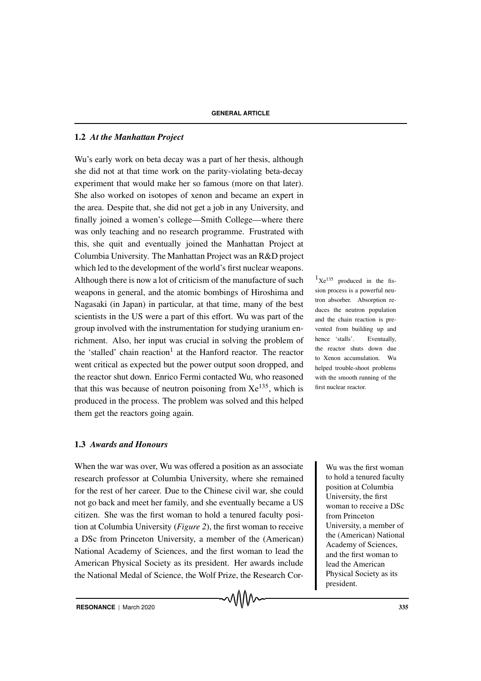#### 1.2 *At the Manhattan Project*

Wu's early work on beta decay was a part of her thesis, although she did not at that time work on the parity-violating beta-decay experiment that would make her so famous (more on that later). She also worked on isotopes of xenon and became an expert in the area. Despite that, she did not get a job in any University, and finally joined a women's college—Smith College—where there was only teaching and no research programme. Frustrated with this, she quit and eventually joined the Manhattan Project at Columbia University. The Manhattan Project was an R&D project which led to the development of the world's first nuclear weapons. Although there is now a lot of criticism of the manufacture of such  $1 \text{Xe}^{135}$  produced in the fisweapons in general, and the atomic bombings of Hiroshima and Nagasaki (in Japan) in particular, at that time, many of the best scientists in the US were a part of this effort. Wu was part of the group involved with the instrumentation for studying uranium enrichment. Also, her input was crucial in solving the problem of the 'stalled' chain reaction<sup>1</sup> at the Hanford reactor. The reactor went critical as expected but the power output soon dropped, and the reactor shut down. Enrico Fermi contacted Wu, who reasoned that this was because of neutron poisoning from  $Xe^{135}$ , which is produced in the process. The problem was solved and this helped them get the reactors going again.

#### 1.3 *Awards and Honours*

When the war was over, Wu was offered a position as an associate Wu was the first woman research professor at Columbia University, where she remained for the rest of her career. Due to the Chinese civil war, she could not go back and meet her family, and she eventually became a US citizen. She was the first woman to hold a tenured faculty position at Columbia University (*Figure 2*), the first woman to receive a DSc from Princeton University, a member of the (American) National Academy of Sciences, and the first woman to lead the American Physical Society as its president. Her awards include the National Medal of Science, the Wolf Prize, the Research Cor-

sion process is a powerful neutron absorber. Absorption reduces the neutron population and the chain reaction is prevented from building up and hence 'stalls'. Eventually, the reactor shuts down due to Xenon accumulation. Wu helped trouble-shoot problems with the smooth running of the first nuclear reactor.

> to hold a tenured faculty position at Columbia University, the first woman to receive a DSc from Princeton University, a member of the (American) National Academy of Sciences, and the first woman to lead the American Physical Society as its president.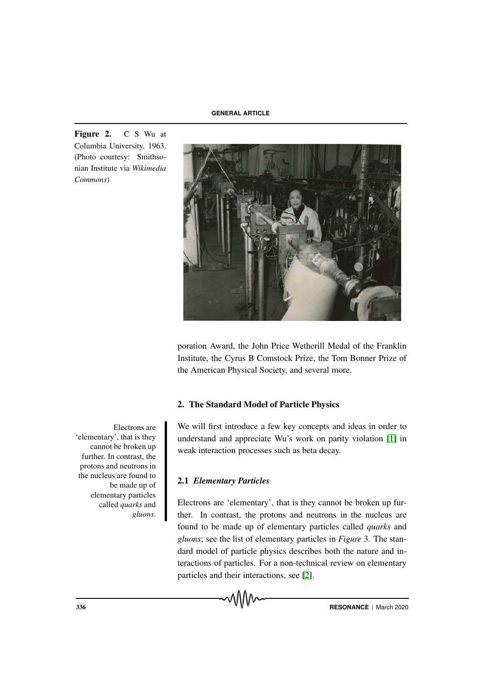Figure 2. C S Wu at Columbia University, 1963. (Photo courtesy: Smithsonian Institute via *Wikimedia Commons*)



poration Award, the John Price Wetherill Medal of the Franklin Institute, the Cyrus B Comstock Prize, the Tom Bonner Prize of the American Physical Society, and several more.

# 2. The Standard Model of Particle Physics

We will first introduce a few key concepts and ideas in order to understand and appreciate Wu's work on parity violation [1] in weak interaction processes such as beta decay.

# 2.1 *Elementary Particles*

Electrons are 'elementary', that is they cannot be broken up further. In contrast, the protons and neutrons in the nucleus are found to be made up of elementary particles called *quarks* and *gluons*; see the list of elementary particles in *Figure* 3. The standard model of particle physics describes both the nature and interactions of particles. For a non-technical review on elementary particles and their interactions, see [2].

Electrons are 'elementary', that is they cannot be broken up further. In contrast, the protons and neutrons in the nucleus are found to be made up of elementary particles called *quarks* and *gluons*.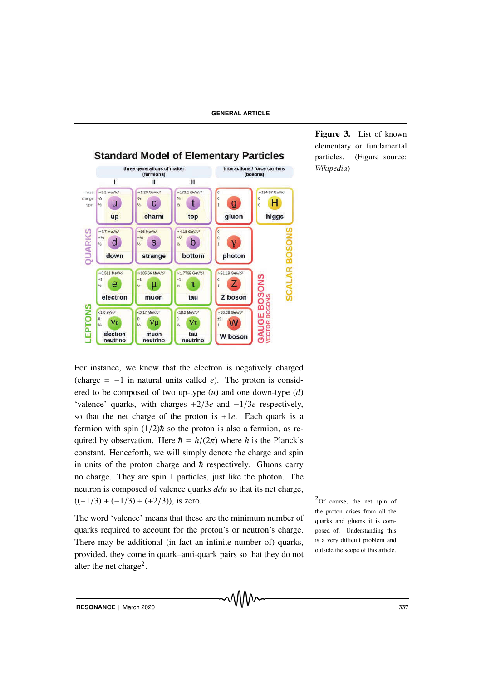

Figure 3. List of known elementary or fundamental particles. (Figure source: *Wikipedia*)

For instance, we know that the electron is negatively charged (charge =  $-1$  in natural units called *e*). The proton is considered to be composed of two up-type (*u*) and one down-type (*d*) 'valence' quarks, with charges +2/3*e* and −1/3*e* respectively, so that the net charge of the proton is +1*e*. Each quark is a fermion with spin  $(1/2)\hbar$  so the proton is also a fermion, as required by observation. Here  $\hbar = h/(2\pi)$  where *h* is the Planck's constant. Henceforth, we will simply denote the charge and spin in units of the proton charge and  $\hbar$  respectively. Gluons carry no charge. They are spin 1 particles, just like the photon. The neutron is composed of valence quarks *ddu* so that its net charge,  $((-1/3) + (-1/3) + (+2/3))$ , is zero. <sup>2</sup>Of course, the net spin of

The word 'valence' means that these are the minimum number of quarks required to account for the proton's or neutron's charge. There may be additional (in fact an infinite number of) quarks, provided, they come in quark–anti-quark pairs so that they do not alter the net charge<sup>2</sup>.

the proton arises from all the quarks and gluons it is composed of. Understanding this is a very difficult problem and outside the scope of this article.

**RESONANCE** | March 2020 **337**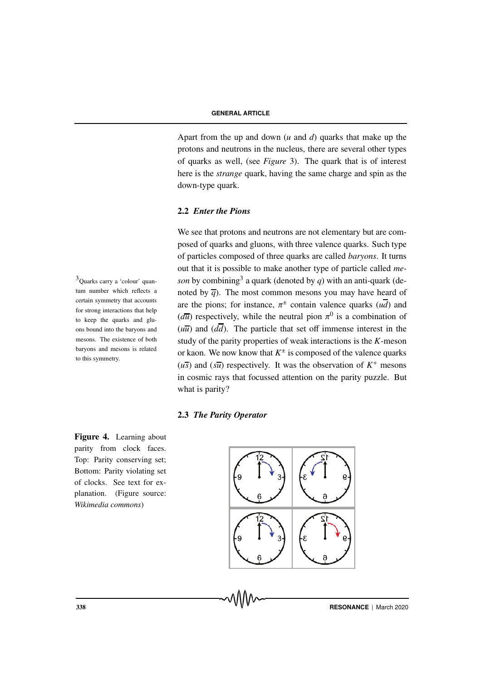Apart from the up and down (*u* and *d*) quarks that make up the protons and neutrons in the nucleus, there are several other types of quarks as well, (see *Figure* 3). The quark that is of interest here is the *strange* quark, having the same charge and spin as the down-type quark.

# 2.2 *Enter the Pions*

We see that protons and neutrons are not elementary but are composed of quarks and gluons, with three valence quarks. Such type of particles composed of three quarks are called *baryons*. It turns out that it is possible to make another type of particle called *me*son by combining<sup>3</sup> a quark (denoted by *q*) with an anti-quark (denoted by  $\overline{q}$ ). The most common mesons you may have heard of are the pions; for instance,  $\pi^{\pm}$  contain valence quarks ( $u\overline{d}$ ) and  $(d\overline{u})$  respectively, while the neutral pion  $\pi^0$  is a combination of  $(u\overline{u})$  and  $(d\overline{d})$ . The particle that set off immense interest in the study of the parity properties of weak interactions is the *K*-meson or kaon. We now know that  $K^{\pm}$  is composed of the valence quarks  $(u\overline{s})$  and  $(s\overline{u})$  respectively. It was the observation of  $K^+$  mesons in cosmic rays that focussed attention on the parity puzzle. But what is parity?

#### 2.3 *The Parity Operator*

Figure 4. Learning about parity from clock faces. Top: Parity conserving set; Bottom: Parity violating set of clocks. See text for explanation. (Figure source: *Wikimedia commons*)



**9 8338 RESONANCE** | March 2020

<sup>3</sup> Quarks carry a 'colour' quantum number which reflects a certain symmetry that accounts for strong interactions that help to keep the quarks and gluons bound into the baryons and mesons. The existence of both baryons and mesons is related to this symmetry.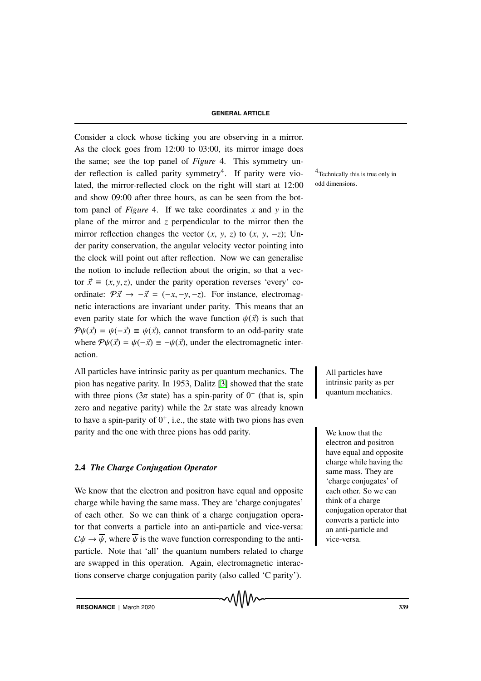Consider a clock whose ticking you are observing in a mirror. As the clock goes from 12:00 to 03:00, its mirror image does the same; see the top panel of *Figure* 4. This symmetry under reflection is called parity symmetry<sup>4</sup>. If parity were vio-  $4$ Technically this is true only in lated, the mirror-reflected clock on the right will start at 12:00 and show 09:00 after three hours, as can be seen from the bottom panel of *Figure* 4. If we take coordinates  $x$  and  $y$  in the plane of the mirror and *z* perpendicular to the mirror then the mirror reflection changes the vector  $(x, y, z)$  to  $(x, y, -z)$ ; Under parity conservation, the angular velocity vector pointing into the clock will point out after reflection. Now we can generalise the notion to include reflection about the origin, so that a vector  $\vec{x} \equiv (x, y, z)$ , under the parity operation reverses 'every' coordinate:  $\mathcal{P} \vec{x} \rightarrow -\vec{x} = (-x, -y, -z)$ . For instance, electromagnetic interactions are invariant under parity. This means that an even parity state for which the wave function  $\psi(\vec{x})$  is such that  $\mathcal{P}\psi(\vec{x}) = \psi(-\vec{x}) \equiv \psi(\vec{x})$ , cannot transform to an odd-parity state where  $\mathcal{P}\psi(\vec{x}) = \psi(-\vec{x}) = -\psi(\vec{x})$ , under the electromagnetic interaction.

All particles have intrinsic parity as per quantum mechanics. The All particles have pion has negative parity. In 1953, Dalitz [3] showed that the state with three pions ( $3\pi$  state) has a spin-parity of  $0^-$  (that is, spin zero and negative parity) while the  $2\pi$  state was already known to have a spin-parity of  $0^+$ , i.e., the state with two pions has even parity and the one with three pions has odd parity. We know that the

#### 2.4 *The Charge Conjugation Operator*

We know that the electron and positron have equal and opposite charge while having the same mass. They are 'charge conjugates' of each other. So we can think of a charge conjugation operator that converts a particle into an anti-particle and vice-versa:  $C\psi \rightarrow \overline{\psi}$ , where  $\overline{\psi}$  is the wave function corresponding to the antiparticle. Note that 'all' the quantum numbers related to charge are swapped in this operation. Again, electromagnetic interactions conserve charge conjugation parity (also called 'C parity').

odd dimensions.

intrinsic parity as per quantum mechanics.

electron and positron have equal and opposite charge while having the same mass. They are 'charge conjugates' of each other. So we can think of a charge conjugation operator that converts a particle into an anti-particle and vice-versa.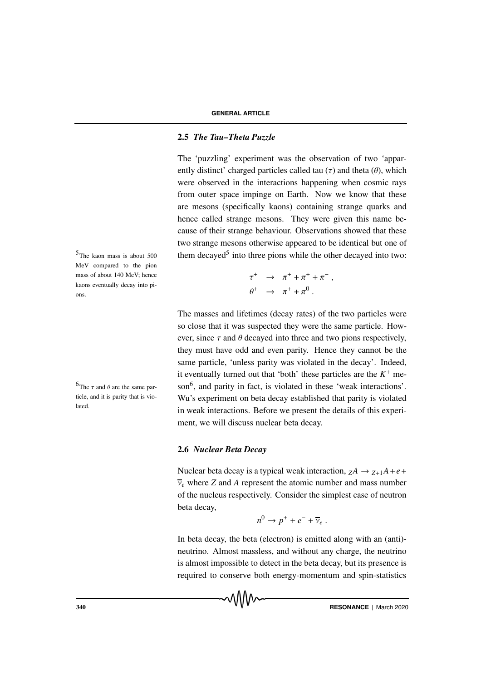#### 2.5 *The Tau–Theta Puzzle*

The 'puzzling' experiment was the observation of two 'apparently distinct' charged particles called tau  $(\tau)$  and theta  $(\theta)$ , which were observed in the interactions happening when cosmic rays from outer space impinge on Earth. Now we know that these are mesons (specifically kaons) containing strange quarks and hence called strange mesons. They were given this name because of their strange behaviour. Observations showed that these two strange mesons otherwise appeared to be identical but one of them decayed<sup>5</sup> into three pions while the other decayed into two:

 $5$ The kaon mass is about 500 MeV compared to the pion mass of about 140 MeV; hence kaons eventually decay into pions.

 $6$ The  $\tau$  and  $\theta$  are the same particle, and it is parity that is violated.

 $\tau^+$   $\to$   $\pi^+$  +  $\pi^+$  +  $\pi^-$  ,  $\theta^+$   $\rightarrow$   $\pi^+$  +  $\pi^0$ 

The masses and lifetimes (decay rates) of the two particles were so close that it was suspected they were the same particle. However, since  $\tau$  and  $\theta$  decayed into three and two pions respectively, they must have odd and even parity. Hence they cannot be the same particle, 'unless parity was violated in the decay'. Indeed, it eventually turned out that 'both' these particles are the  $K^+$  meson<sup>6</sup>, and parity in fact, is violated in these 'weak interactions'. Wu's experiment on beta decay established that parity is violated in weak interactions. Before we present the details of this experiment, we will discuss nuclear beta decay.

#### 2.6 *Nuclear Beta Decay*

Nuclear beta decay is a typical weak interaction,  $zA \rightarrow z+1A+e+$  $\overline{v}_e$  where *Z* and *A* represent the atomic number and mass number of the nucleus respectively. Consider the simplest case of neutron beta decay,

$$
n^0 \to p^+ + e^- + \overline{\nu}_e.
$$

In beta decay, the beta (electron) is emitted along with an (anti) neutrino. Almost massless, and without any charge, the neutrino is almost impossible to detect in the beta decay, but its presence is required to conserve both energy-momentum and spin-statistics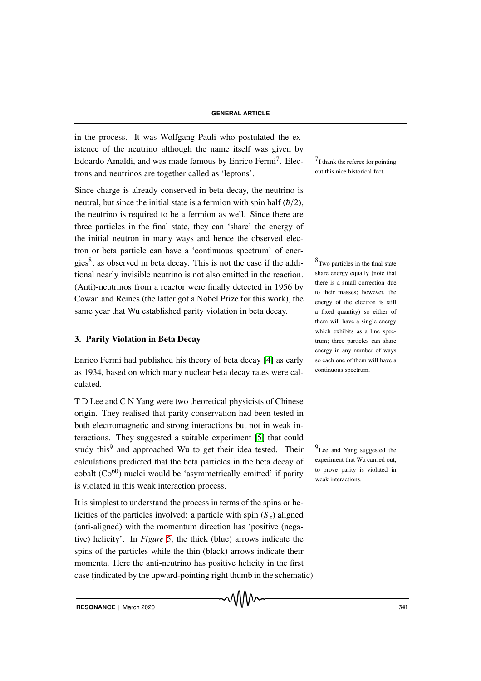in the process. It was Wolfgang Pauli who postulated the existence of the neutrino although the name itself was given by Edoardo Amaldi, and was made famous by Enrico Fermi<sup>7</sup>. Elec-  $7$ I thank the referee for pointing trons and neutrinos are together called as 'leptons'.

Since charge is already conserved in beta decay, the neutrino is neutral, but since the initial state is a fermion with spin half  $(\hbar/2)$ , the neutrino is required to be a fermion as well. Since there are three particles in the final state, they can 'share' the energy of the initial neutron in many ways and hence the observed electron or beta particle can have a 'continuous spectrum' of energies<sup>8</sup>, as observed in beta decay. This is not the case if the addi-  $8\pi$ <sub>W</sub> particles in the final state tional nearly invisible neutrino is not also emitted in the reaction. (Anti)-neutrinos from a reactor were finally detected in 1956 by Cowan and Reines (the latter got a Nobel Prize for this work), the same year that Wu established parity violation in beta decay.

#### 3. Parity Violation in Beta Decay

Enrico Fermi had published his theory of beta decay [4] as early as 1934, based on which many nuclear beta decay rates were calculated.

T D Lee and C N Yang were two theoretical physicists of Chinese origin. They realised that parity conservation had been tested in both electromagnetic and strong interactions but not in weak interactions. They suggested a suitable experiment [5] that could study this<sup>9</sup> and approached Wu to get their idea tested. Their  $9$ Lee and Yang suggested the calculations predicted that the beta particles in the beta decay of cobalt  $(Co<sup>60</sup>)$  nuclei would be 'asymmetrically emitted' if parity is violated in this weak interaction process.

It is simplest to understand the process in terms of the spins or helicities of the particles involved: a particle with spin  $(S_z)$  aligned (anti-aligned) with the momentum direction has 'positive (negative) helicity'. In *Figure* 5, the thick (blue) arrows indicate the spins of the particles while the thin (black) arrows indicate their momenta. Here the anti-neutrino has positive helicity in the first case (indicated by the upward-pointing right thumb in the schematic)

out this nice historical fact.

share energy equally (note that there is a small correction due to their masses; however, the energy of the electron is still a fixed quantity) so either of them will have a single energy which exhibits as a line spectrum; three particles can share energy in any number of ways so each one of them will have a continuous spectrum.

experiment that Wu carried out, to prove parity is violated in weak interactions.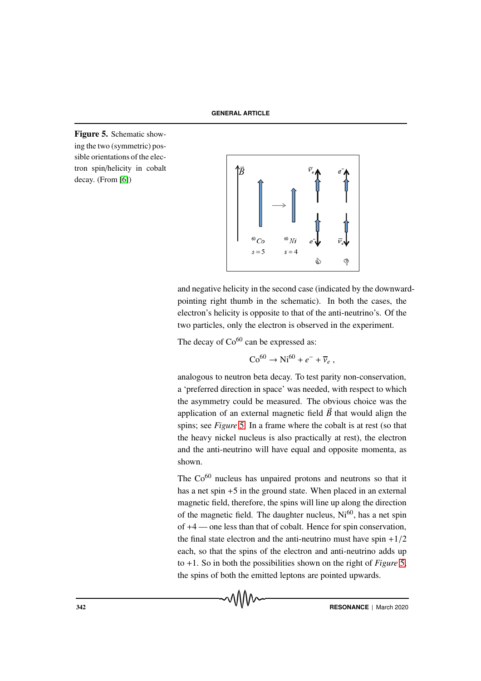Figure 5. Schematic showing the two (symmetric) possible orientations of the electron spin/helicity in cobalt decay. (From [6])



and negative helicity in the second case (indicated by the downwardpointing right thumb in the schematic). In both the cases, the electron's helicity is opposite to that of the anti-neutrino's. Of the two particles, only the electron is observed in the experiment.

The decay of  $Co<sup>60</sup>$  can be expressed as:

$$
Co^{60} \rightarrow Ni^{60} + e^- + \overline{\nu}_e ,
$$

analogous to neutron beta decay. To test parity non-conservation, a 'preferred direction in space' was needed, with respect to which the asymmetry could be measured. The obvious choice was the application of an external magnetic field  $\vec{B}$  that would align the spins; see *Figure* 5. In a frame where the cobalt is at rest (so that the heavy nickel nucleus is also practically at rest), the electron and the anti-neutrino will have equal and opposite momenta, as shown.

The  $Co<sup>60</sup>$  nucleus has unpaired protons and neutrons so that it has a net spin  $+5$  in the ground state. When placed in an external magnetic field, therefore, the spins will line up along the direction of the magnetic field. The daughter nucleus,  $Ni<sup>60</sup>$ , has a net spin of +4 — one less than that of cobalt. Hence for spin conservation, the final state electron and the anti-neutrino must have spin  $+1/2$ each, so that the spins of the electron and anti-neutrino adds up to +1. So in both the possibilities shown on the right of *Figure* 5, the spins of both the emitted leptons are pointed upwards.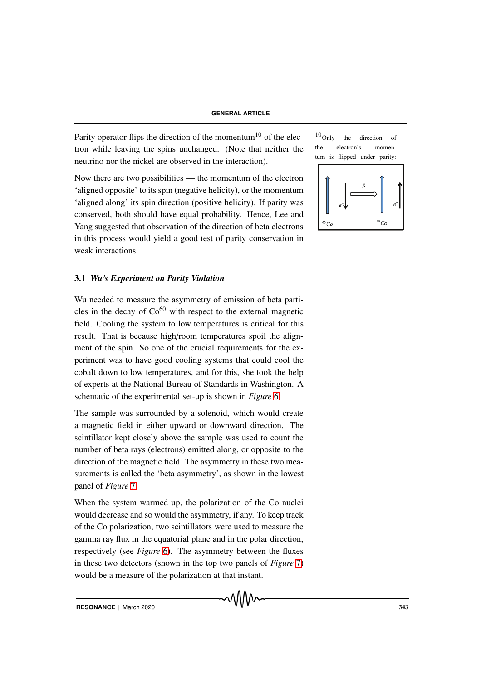Parity operator flips the direction of the momentum<sup>10</sup> of the elec-  $\frac{10}{2}$  only the direction of tron while leaving the spins unchanged. (Note that neither the neutrino nor the nickel are observed in the interaction).

Now there are two possibilities — the momentum of the electron 'aligned opposite' to its spin (negative helicity), or the momentum 'aligned along' its spin direction (positive helicity). If parity was conserved, both should have equal probability. Hence, Lee and Yang suggested that observation of the direction of beta electrons in this process would yield a good test of parity conservation in weak interactions.

### 3.1 *Wu's Experiment on Parity Violation*

Wu needed to measure the asymmetry of emission of beta particles in the decay of  $Co<sup>60</sup>$  with respect to the external magnetic field. Cooling the system to low temperatures is critical for this result. That is because high/room temperatures spoil the alignment of the spin. So one of the crucial requirements for the experiment was to have good cooling systems that could cool the cobalt down to low temperatures, and for this, she took the help of experts at the National Bureau of Standards in Washington. A schematic of the experimental set-up is shown in *Figure* 6.

The sample was surrounded by a solenoid, which would create a magnetic field in either upward or downward direction. The scintillator kept closely above the sample was used to count the number of beta rays (electrons) emitted along, or opposite to the direction of the magnetic field. The asymmetry in these two measurements is called the 'beta asymmetry', as shown in the lowest panel of *Figure* 7.

When the system warmed up, the polarization of the Co nuclei would decrease and so would the asymmetry, if any. To keep track of the Co polarization, two scintillators were used to measure the gamma ray flux in the equatorial plane and in the polar direction, respectively (see *Figure* 6). The asymmetry between the fluxes in these two detectors (shown in the top two panels of *Figure* 7) would be a measure of the polarization at that instant.

the electron's momentum is flipped under parity:

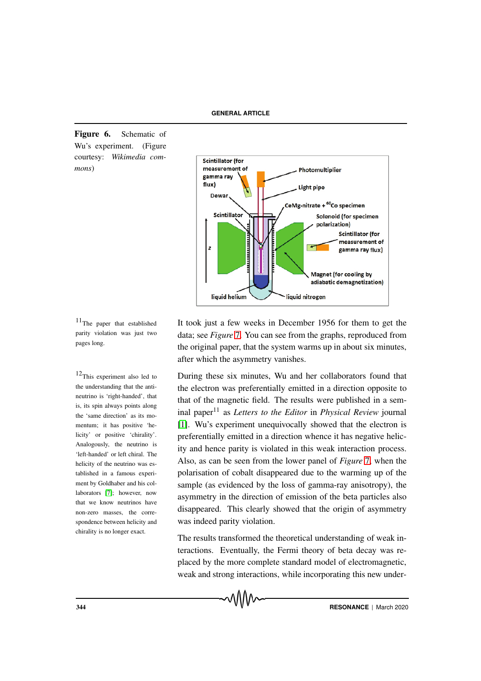Figure 6. Schematic of Wu's experiment. (Figure courtesy: *Wikimedia commons*)



 $11$ The paper that established parity violation was just two pages long.

 $12$ This experiment also led to the understanding that the antineutrino is 'right-handed', that is, its spin always points along the 'same direction' as its momentum; it has positive 'helicity' or positive 'chirality'. Analogously, the neutrino is 'left-handed' or left chiral. The helicity of the neutrino was established in a famous experiment by Goldhaber and his collaborators [7]; however, now that we know neutrinos have non-zero masses, the correspondence between helicity and chirality is no longer exact.

It took just a few weeks in December 1956 for them to get the data; see *Figure* 7. You can see from the graphs, reproduced from the original paper, that the system warms up in about six minutes, after which the asymmetry vanishes.

During these six minutes, Wu and her collaborators found that the electron was preferentially emitted in a direction opposite to that of the magnetic field. The results were published in a seminal paper<sup>11</sup> as *Letters to the Editor* in *Physical Review* journal [1]. Wu's experiment unequivocally showed that the electron is preferentially emitted in a direction whence it has negative helicity and hence parity is violated in this weak interaction process. Also, as can be seen from the lower panel of *Figure* 7, when the polarisation of cobalt disappeared due to the warming up of the sample (as evidenced by the loss of gamma-ray anisotropy), the asymmetry in the direction of emission of the beta particles also disappeared. This clearly showed that the origin of asymmetry was indeed parity violation.

The results transformed the theoretical understanding of weak interactions. Eventually, the Fermi theory of beta decay was replaced by the more complete standard model of electromagnetic, weak and strong interactions, while incorporating this new under-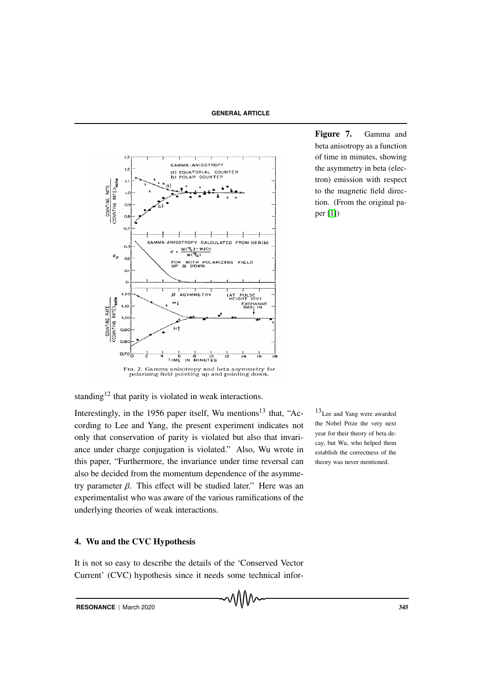

Figure 7. Gamma and beta anisotropy as a function of time in minutes, showing the asymmetry in beta (electron) emission with respect to the magnetic field direction. (From the original paper [1])

standing<sup>12</sup> that parity is violated in weak interactions.

Interestingly, in the 1956 paper itself, Wu mentions<sup>13</sup> that, "Ac- $13$ Lee and Yang were awarded cording to Lee and Yang, the present experiment indicates not only that conservation of parity is violated but also that invariance under charge conjugation is violated." Also, Wu wrote in this paper, "Furthermore, the invariance under time reversal can also be decided from the momentum dependence of the asymmetry parameter β. This effect will be studied later." Here was an experimentalist who was aware of the various ramifications of the underlying theories of weak interactions.

### 4. Wu and the CVC Hypothesis

It is not so easy to describe the details of the 'Conserved Vector Current' (CVC) hypothesis since it needs some technical infor-

the Nobel Prize the very next year for their theory of beta decay, but Wu, who helped them establish the correctness of the theory was never mentioned.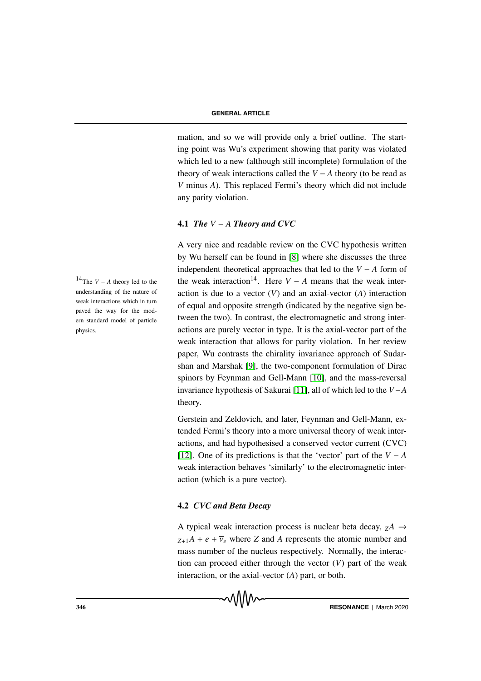mation, and so we will provide only a brief outline. The starting point was Wu's experiment showing that parity was violated which led to a new (although still incomplete) formulation of the theory of weak interactions called the  $V - A$  theory (to be read as *V* minus *A*). This replaced Fermi's theory which did not include any parity violation.

# 4.1 *The V* − *A Theory and CVC*

A very nice and readable review on the CVC hypothesis written by Wu herself can be found in [8] where she discusses the three independent theoretical approaches that led to the *V* − *A* form of the weak interaction<sup>14</sup>. Here  $V - A$  means that the weak interaction is due to a vector (*V*) and an axial-vector (*A*) interaction of equal and opposite strength (indicated by the negative sign between the two). In contrast, the electromagnetic and strong interactions are purely vector in type. It is the axial-vector part of the weak interaction that allows for parity violation. In her review paper, Wu contrasts the chirality invariance approach of Sudarshan and Marshak [9], the two-component formulation of Dirac spinors by Feynman and Gell-Mann [10], and the mass-reversal invariance hypothesis of Sakurai [11], all of which led to the *V*−*A* theory.

Gerstein and Zeldovich, and later, Feynman and Gell-Mann, extended Fermi's theory into a more universal theory of weak interactions, and had hypothesised a conserved vector current (CVC) [12]. One of its predictions is that the 'vector' part of the  $V - A$ weak interaction behaves 'similarly' to the electromagnetic interaction (which is a pure vector).

# 4.2 *CVC and Beta Decay*

A typical weak interaction process is nuclear beta decay,  $zA \rightarrow$  $Z_{+1}A + e + v_e$  where *Z* and *A* represents the atomic number and mass number of the nucleus respectively. Normally, the interaction can proceed either through the vector  $(V)$  part of the weak interaction, or the axial-vector (*A*) part, or both.

 $14$  The *V* − *A* theory led to the understanding of the nature of weak interactions which in turn paved the way for the modern standard model of particle physics.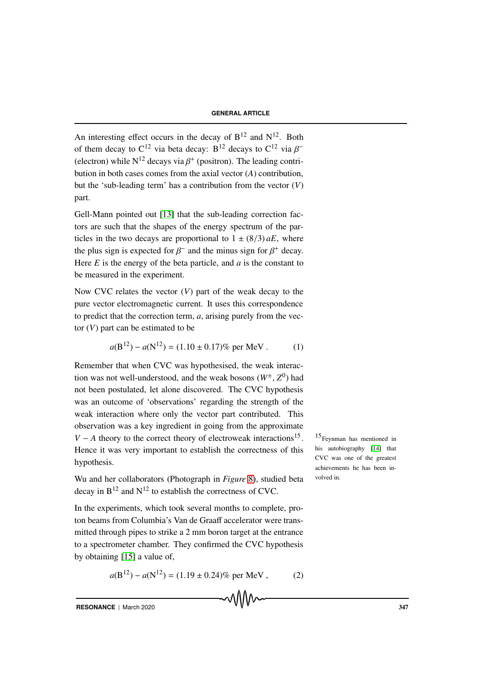An interesting effect occurs in the decay of  $B^{12}$  and  $N^{12}$ . Both of them decay to  $C^{12}$  via beta decay: B<sup>12</sup> decays to  $C^{12}$  via  $\beta^-$ (electron) while  $N^{12}$  decays via  $\beta^+$  (positron). The leading contribution in both cases comes from the axial vector (*A*) contribution, but the 'sub-leading term' has a contribution from the vector (*V*) part.

Gell-Mann pointed out [13] that the sub-leading correction factors are such that the shapes of the energy spectrum of the particles in the two decays are proportional to  $1 \pm (8/3) aE$ , where the plus sign is expected for  $\beta^-$  and the minus sign for  $\beta^+$  decay. Here  $E$  is the energy of the beta particle, and  $a$  is the constant to be measured in the experiment.

Now CVC relates the vector (*V*) part of the weak decay to the pure vector electromagnetic current. It uses this correspondence to predict that the correction term, *a*, arising purely from the vector (*V*) part can be estimated to be

$$
a(B^{12}) - a(N^{12}) = (1.10 \pm 0.17)\% \text{ per MeV}.
$$
 (1)

Remember that when CVC was hypothesised, the weak interaction was not well-understood, and the weak bosons  $(W^{\pm}, Z^0)$  had not been postulated, let alone discovered. The CVC hypothesis was an outcome of 'observations' regarding the strength of the weak interaction where only the vector part contributed. This observation was a key ingredient in going from the approximate *V* − *A* theory to the correct theory of electroweak interactions<sup>15</sup>. <sup>15</sup>Feynman has mentioned in Hence it was very important to establish the correctness of this hypothesis.

Wu and her collaborators (Photograph in *Figure* 8), studied beta decay in  $B^{12}$  and  $N^{12}$  to establish the correctness of CVC.

In the experiments, which took several months to complete, proton beams from Columbia's Van de Graaff accelerator were transmitted through pipes to strike a 2 mm boron target at the entrance to a spectrometer chamber. They confirmed the CVC hypothesis by obtaining [15] a value of,

$$
a(B^{12}) - a(N^{12}) = (1.19 \pm 0.24)\% \text{ per MeV}, \qquad (2)
$$

his autobiography [14] that CVC was one of the greatest achievements he has been involved in.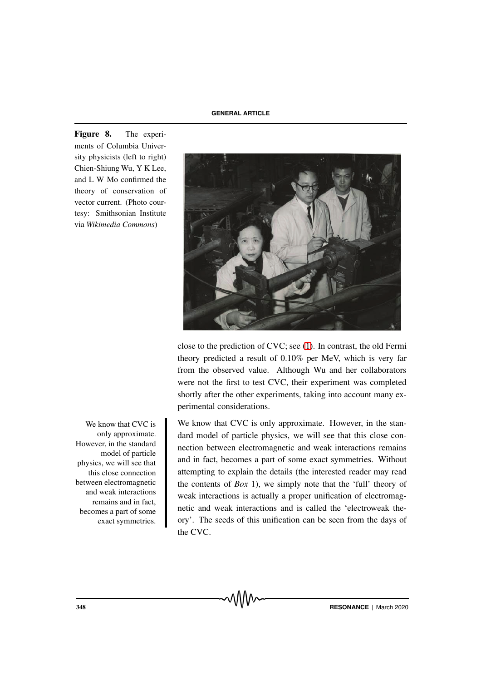Figure 8. The experiments of Columbia University physicists (left to right) Chien-Shiung Wu, Y K Lee, and L W Mo confirmed the theory of conservation of vector current. (Photo courtesy: Smithsonian Institute via *Wikimedia Commons*)

We know that CVC is only approximate. However, in the standard model of particle physics, we will see that this close connection between electromagnetic and weak interactions remains and in fact, becomes a part of some exact symmetries.



close to the prediction of CVC; see (1). In contrast, the old Fermi theory predicted a result of 0.10% per MeV, which is very far from the observed value. Although Wu and her collaborators were not the first to test CVC, their experiment was completed shortly after the other experiments, taking into account many experimental considerations.

We know that CVC is only approximate. However, in the standard model of particle physics, we will see that this close connection between electromagnetic and weak interactions remains and in fact, becomes a part of some exact symmetries. Without attempting to explain the details (the interested reader may read the contents of *Box* 1), we simply note that the 'full' theory of weak interactions is actually a proper unification of electromagnetic and weak interactions and is called the 'electroweak theory'. The seeds of this unification can be seen from the days of the CVC.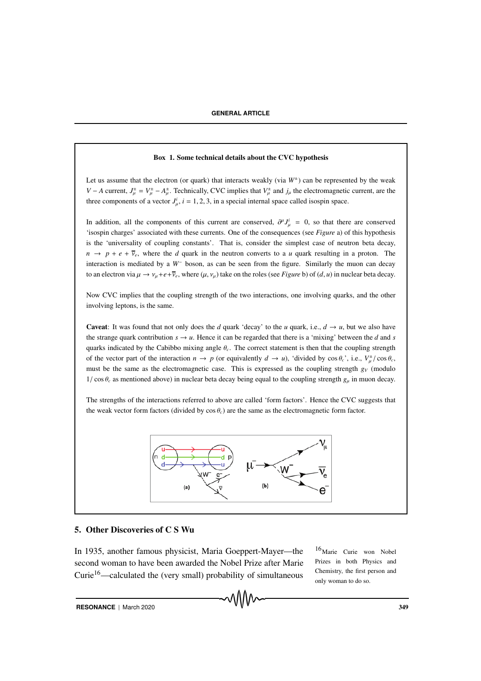#### Box 1. Some technical details about the CVC hypothesis

Let us assume that the electron (or quark) that interacts weakly (via  $W^{\pm}$ ) can be represented by the weak *V* − *A* current,  $J^{\pm}_{\mu} = V^{\pm}_{\mu} - A^{\pm}_{\mu}$ . Technically, CVC implies that  $V^{\pm}_{\mu}$  and  $j_{\mu}$  the electromagnetic current, are the three components of a vector  $J^i_\mu$ ,  $i = 1, 2, 3$ , in a special internal space called isospin space.

In addition, all the components of this current are conserved,  $\partial^{\mu} J_{\mu}^{i} = 0$ , so that there are conserved 'isospin charges' associated with these currents. One of the consequences (see *Figure* a) of this hypothesis is the 'universality of coupling constants'. That is, consider the simplest case of neutron beta decay,  $n \rightarrow p + e + \overline{v}_e$ , where the *d* quark in the neutron converts to a *u* quark resulting in a proton. The interaction is mediated by a *W*<sup>−</sup> boson, as can be seen from the figure. Similarly the muon can decay to an electron via  $\mu \rightarrow \nu_{\mu} + e + \overline{\nu}_{e}$ , where  $(\mu, \nu_{\mu})$  take on the roles (see *Figure* b) of  $(d, u)$  in nuclear beta decay.

Now CVC implies that the coupling strength of the two interactions, one involving quarks, and the other involving leptons, is the same.

**Caveat:** It was found that not only does the *d* quark 'decay' to the *u* quark, i.e.,  $d \rightarrow u$ , but we also have the strange quark contribution  $s \to u$ . Hence it can be regarded that there is a 'mixing' between the *d* and *s* quarks indicated by the Cabibbo mixing angle θ*c*. The correct statement is then that the coupling strength of the vector part of the interaction  $n \to p$  (or equivalently  $d \to u$ ), 'divided by cos  $\theta_c$ ', i.e.,  $V^{\pm}_{\mu}/\cos \theta_c$ must be the same as the electromagnetic case. This is expressed as the coupling strength  $g_V$  (modulo  $1/\cos\theta_c$  as mentioned above) in nuclear beta decay being equal to the coupling strength  $g_\mu$  in muon decay.

The strengths of the interactions referred to above are called 'form factors'. Hence the CVC suggests that the weak vector form factors (divided by cos θ*c*) are the same as the electromagnetic form factor.



#### 5. Other Discoveries of C S Wu

In 1935, another famous physicist, Maria Goeppert-Mayer—the <sup>16</sup>Marie Curie won Nobel second woman to have been awarded the Nobel Prize after Marie Curie16—calculated the (very small) probability of simultaneous

Prizes in both Physics and Chemistry, the first person and only woman to do so.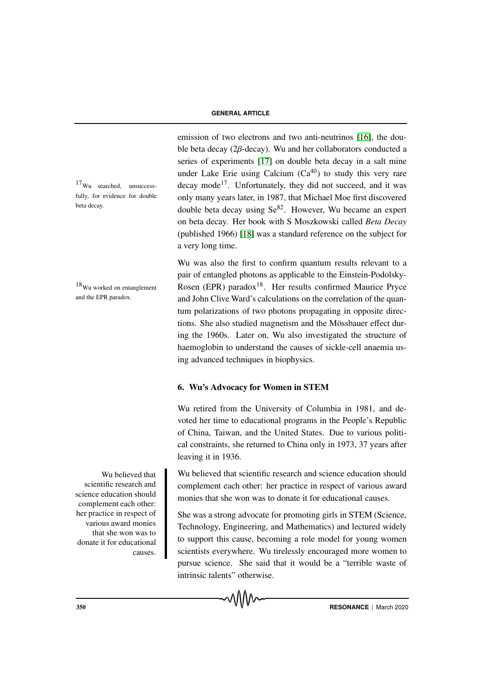emission of two electrons and two anti-neutrinos [16], the double beta decay (2β-decay). Wu and her collaborators conducted a series of experiments [17] on double beta decay in a salt mine under Lake Erie using Calcium  $(Ca^{40})$  to study this very rare decay mode<sup>17</sup>. Unfortunately, they did not succeed, and it was only many years later, in 1987, that Michael Moe first discovered double beta decay using  $\text{Se}^{82}$ . However, Wu became an expert on beta decay. Her book with S Moszkowski called *Beta Decay* (published 1966) [18] was a standard reference on the subject for a very long time.

Wu was also the first to confirm quantum results relevant to a pair of entangled photons as applicable to the Einstein-Podolsky- $18$ Wu worked on entanglement Rosen (EPR) paradox $18$ . Her results confirmed Maurice Pryce and John Clive Ward's calculations on the correlation of the quantum polarizations of two photons propagating in opposite directions. She also studied magnetism and the Mössbauer effect during the 1960s. Later on, Wu also investigated the structure of haemoglobin to understand the causes of sickle-cell anaemia using advanced techniques in biophysics.

# 6. Wu's Advocacy for Women in STEM

Wu retired from the University of Columbia in 1981, and devoted her time to educational programs in the People's Republic of China, Taiwan, and the United States. Due to various political constraints, she returned to China only in 1973, 37 years after leaving it in 1936.

Wu believed that scientific research and science education should complement each other: her practice in respect of various award monies that she won was to donate it for educational causes.

She was a strong advocate for promoting girls in STEM (Science, Technology, Engineering, and Mathematics) and lectured widely to support this cause, becoming a role model for young women scientists everywhere. Wu tirelessly encouraged more women to pursue science. She said that it would be a "terrible waste of intrinsic talents" otherwise.



 $17$  Wu searched, unsuccessfully, for evidence for double beta decay.

and the EPR paradox.

Wu believed that scientific research and science education should complement each other: her practice in respect of various award monies that she won was to donate it for educational causes.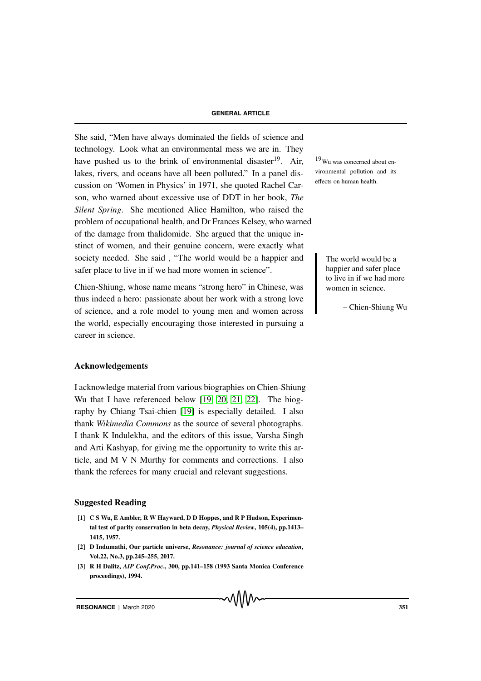She said, "Men have always dominated the fields of science and technology. Look what an environmental mess we are in. They have pushed us to the brink of environmental disaster<sup>19</sup>. Air,  $19$ Wu was concerned about enlakes, rivers, and oceans have all been polluted." In a panel discussion on 'Women in Physics' in 1971, she quoted Rachel Carson, who warned about excessive use of DDT in her book, *The Silent Spring*. She mentioned Alice Hamilton, who raised the problem of occupational health, and Dr Frances Kelsey, who warned of the damage from thalidomide. She argued that the unique instinct of women, and their genuine concern, were exactly what society needed. She said, "The world would be a happier and The world would be a safer place to live in if we had more women in science".

Chien-Shiung, whose name means "strong hero" in Chinese, was thus indeed a hero: passionate about her work with a strong love of science, and a role model to young men and women across the world, especially encouraging those interested in pursuing a career in science.

#### Acknowledgements

I acknowledge material from various biographies on Chien-Shiung Wu that I have referenced below [19, 20, 21, 22]. The biography by Chiang Tsai-chien [19] is especially detailed. I also thank *Wikimedia Commons* as the source of several photographs. I thank K Indulekha, and the editors of this issue, Varsha Singh and Arti Kashyap, for giving me the opportunity to write this article, and M V N Murthy for comments and corrections. I also thank the referees for many crucial and relevant suggestions.

#### Suggested Reading

- [1] C S Wu, E Ambler, R W Hayward, D D Hoppes, and R P Hudson, Experimental test of parity conservation in beta decay, *Physical Review*, 105(4), pp.1413– 1415, 1957.
- [2] D Indumathi, Our particle universe, *Resonance: journal of science education*, Vol.22, No.3, pp.245–255, 2017.
- [3] R H Dalitz, *AIP Conf.Proc*., 300, pp.141–158 (1993 Santa Monica Conference proceedings), 1994.

vironmental pollution and its effects on human health.

> happier and safer place to live in if we had more women in science.

> > – Chien-Shiung Wu